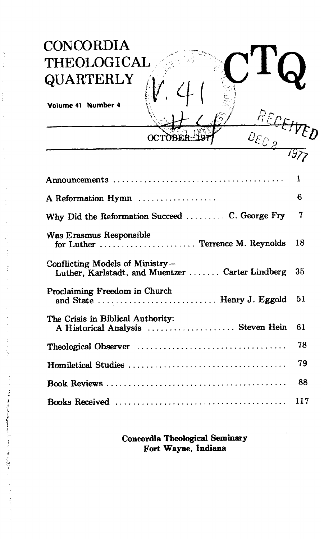## $CONCORDIA$ **THEOLOGICAL** . **QUARTERLY** '

Volume 41 Number 4

 $\ddot{\phantom{0}}$ J

多くです こうきょう アイスト・コント だんい コ

|                                                                                     | 1   |
|-------------------------------------------------------------------------------------|-----|
| A Reformation Hymn                                                                  | 6   |
| Why Did the Reformation Succeed  C. George Fry                                      | 7   |
| Was Erasmus Responsible<br>for Luther  Terrence M. Reynolds                         | 18  |
| Conflicting Models of Ministry-<br>Luther, Karlstadt, and Muentzer  Carter Lindberg | 35  |
| Proclaiming Freedom in Church<br>and State  Henry J. Eggold                         | 51  |
| The Crisis in Biblical Authority:<br>A Historical Analysis  Steven Hein             | 61  |
|                                                                                     | 78  |
|                                                                                     | 79  |
|                                                                                     | 88  |
|                                                                                     | 117 |

**OCTOBE** 

**P:** .\*\* **k;-** 'A p  $\frac{1}{\sqrt{2}}$ 

*ECETY* 

06 **,o** 

**Concordia Theological Seminary Fort Wayne, Indiana**